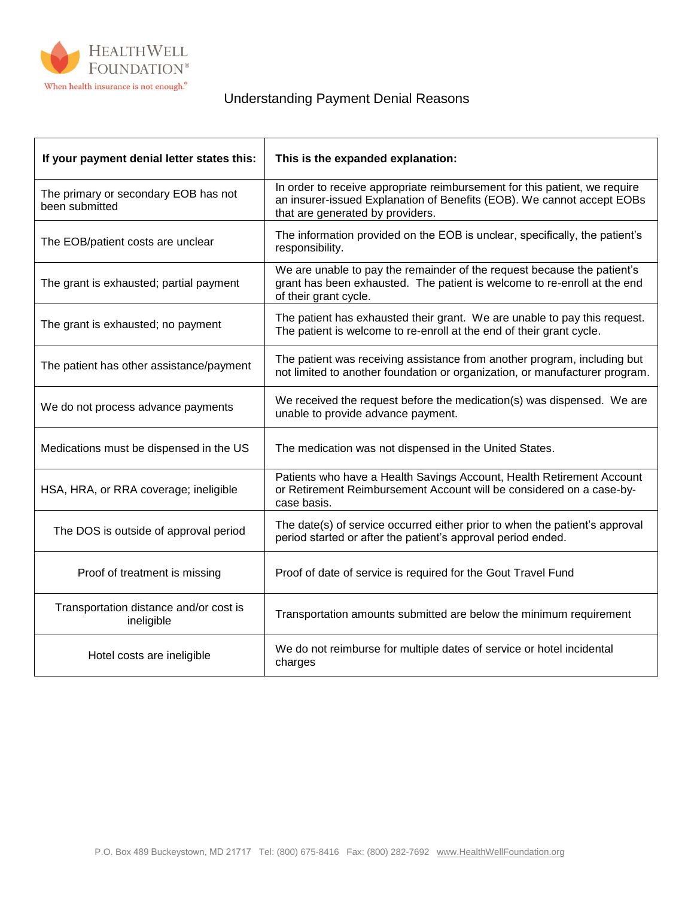

## Understanding Payment Denial Reasons

| If your payment denial letter states this:             | This is the expanded explanation:                                                                                                                                                        |
|--------------------------------------------------------|------------------------------------------------------------------------------------------------------------------------------------------------------------------------------------------|
| The primary or secondary EOB has not<br>been submitted | In order to receive appropriate reimbursement for this patient, we require<br>an insurer-issued Explanation of Benefits (EOB). We cannot accept EOBs<br>that are generated by providers. |
| The EOB/patient costs are unclear                      | The information provided on the EOB is unclear, specifically, the patient's<br>responsibility.                                                                                           |
| The grant is exhausted; partial payment                | We are unable to pay the remainder of the request because the patient's<br>grant has been exhausted. The patient is welcome to re-enroll at the end<br>of their grant cycle.             |
| The grant is exhausted; no payment                     | The patient has exhausted their grant. We are unable to pay this request.<br>The patient is welcome to re-enroll at the end of their grant cycle.                                        |
| The patient has other assistance/payment               | The patient was receiving assistance from another program, including but<br>not limited to another foundation or organization, or manufacturer program.                                  |
| We do not process advance payments                     | We received the request before the medication(s) was dispensed. We are<br>unable to provide advance payment.                                                                             |
| Medications must be dispensed in the US                | The medication was not dispensed in the United States.                                                                                                                                   |
| HSA, HRA, or RRA coverage; ineligible                  | Patients who have a Health Savings Account, Health Retirement Account<br>or Retirement Reimbursement Account will be considered on a case-by-<br>case basis.                             |
| The DOS is outside of approval period                  | The date(s) of service occurred either prior to when the patient's approval<br>period started or after the patient's approval period ended.                                              |
| Proof of treatment is missing                          | Proof of date of service is required for the Gout Travel Fund                                                                                                                            |
| Transportation distance and/or cost is<br>ineligible   | Transportation amounts submitted are below the minimum requirement                                                                                                                       |
| Hotel costs are ineligible                             | We do not reimburse for multiple dates of service or hotel incidental<br>charges                                                                                                         |